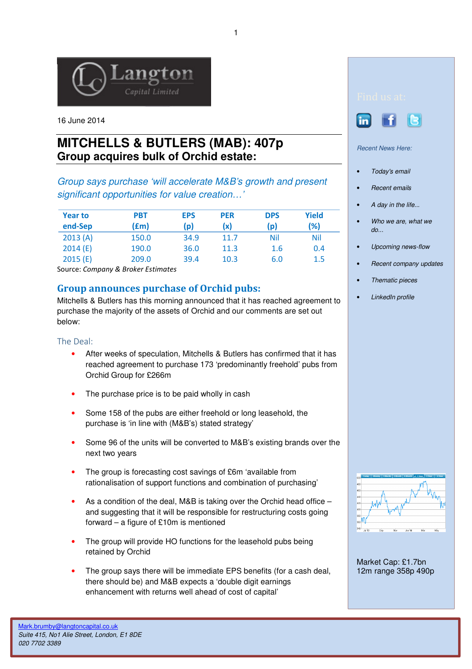

16 June 2014

# **MITCHELLS & BUTLERS (MAB): 407p Group acquires bulk of Orchid estate:**

Group says purchase 'will accelerate M&B's growth and present significant opportunities for value creation…'

| <b>Year to</b><br>end-Sep | <b>PBT</b><br>(£m) | <b>EPS</b><br>(p) | <b>PER</b><br>(x) | <b>DPS</b><br>(p) | Yield<br>(%) |
|---------------------------|--------------------|-------------------|-------------------|-------------------|--------------|
| 2013(A)                   | 150.0              | 34.9              | 11.7              | Nil               | Nil          |
| 2014(E)                   | 190.0              | 36.0              | 11.3              | 1.6               | 0.4          |
| 2015(E)                   | 209.0              | 39.4              | 10.3              | 6.0               | 1.5          |

Source: Company & Broker Estimates

## Group announces purchase of Orchid pubs:

Mitchells & Butlers has this morning announced that it has reached agreement to purchase the majority of the assets of Orchid and our comments are set out below:

#### The Deal:

- After weeks of speculation, Mitchells & Butlers has confirmed that it has reached agreement to purchase 173 'predominantly freehold' pubs from Orchid Group for £266m
- The purchase price is to be paid wholly in cash
- Some 158 of the pubs are either freehold or long leasehold, the purchase is 'in line with (M&B's) stated strategy'
- Some 96 of the units will be converted to M&B's existing brands over the next two years
- The group is forecasting cost savings of £6m 'available from rationalisation of support functions and combination of purchasing'
- As a condition of the deal, M&B is taking over the Orchid head office and suggesting that it will be responsible for restructuring costs going forward – a figure of £10m is mentioned
- The group will provide HO functions for the leasehold pubs being retained by Orchid
- The group says there will be immediate EPS benefits (for a cash deal, there should be) and M&B expects a 'double digit earnings enhancement with returns well ahead of cost of capital'





Recent News Here:

- Today's email
- Recent emails
- A day in the life...
- Who we are, what we do...
- Upcoming news-flow
- Recent company updates
- Thematic pieces
- LinkedIn profile



Market Cap: £1.7bn 12m range 358p 490p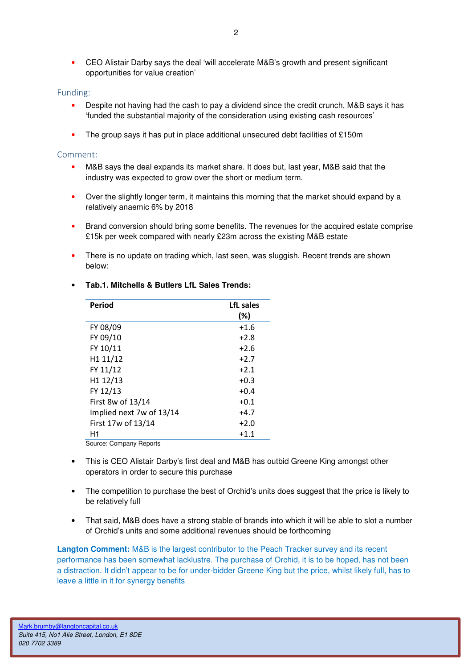• CEO Alistair Darby says the deal 'will accelerate M&B's growth and present significant opportunities for value creation'

### Funding:

- Despite not having had the cash to pay a dividend since the credit crunch, M&B says it has 'funded the substantial majority of the consideration using existing cash resources'
- The group says it has put in place additional unsecured debt facilities of £150m

#### Comment:

- M&B says the deal expands its market share. It does but, last year, M&B said that the industry was expected to grow over the short or medium term.
- Over the slightly longer term, it maintains this morning that the market should expand by a relatively anaemic 6% by 2018
- Brand conversion should bring some benefits. The revenues for the acquired estate comprise £15k per week compared with nearly £23m across the existing M&B estate
- There is no update on trading which, last seen, was sluggish. Recent trends are shown below:

| Period                   | LfL sales<br>(%) |  |  |  |
|--------------------------|------------------|--|--|--|
| FY 08/09                 | $+1.6$           |  |  |  |
| FY 09/10                 | $+2.8$           |  |  |  |
| FY 10/11                 | $+2.6$           |  |  |  |
| H1 11/12                 | $+2.7$           |  |  |  |
| FY 11/12                 | $+2.1$           |  |  |  |
| H1 12/13                 | $+0.3$           |  |  |  |
| FY 12/13                 | $+0.4$           |  |  |  |
| First 8w of 13/14        | $+0.1$           |  |  |  |
| Implied next 7w of 13/14 | $+4.7$           |  |  |  |
| First 17w of 13/14       | $+2.0$           |  |  |  |
| H1                       | $+1.1$           |  |  |  |
| Source: Company Reports  |                  |  |  |  |

### • **Tab.1. Mitchells & Butlers LfL Sales Trends:**

Source: Company Reports

- This is CEO Alistair Darby's first deal and M&B has outbid Greene King amongst other operators in order to secure this purchase
- The competition to purchase the best of Orchid's units does suggest that the price is likely to be relatively full
- That said, M&B does have a strong stable of brands into which it will be able to slot a number of Orchid's units and some additional revenues should be forthcoming

**Langton Comment:** M&B is the largest contributor to the Peach Tracker survey and its recent performance has been somewhat lacklustre. The purchase of Orchid, it is to be hoped, has not been a distraction. It didn't appear to be for under-bidder Greene King but the price, whilst likely full, has to leave a little in it for synergy benefits